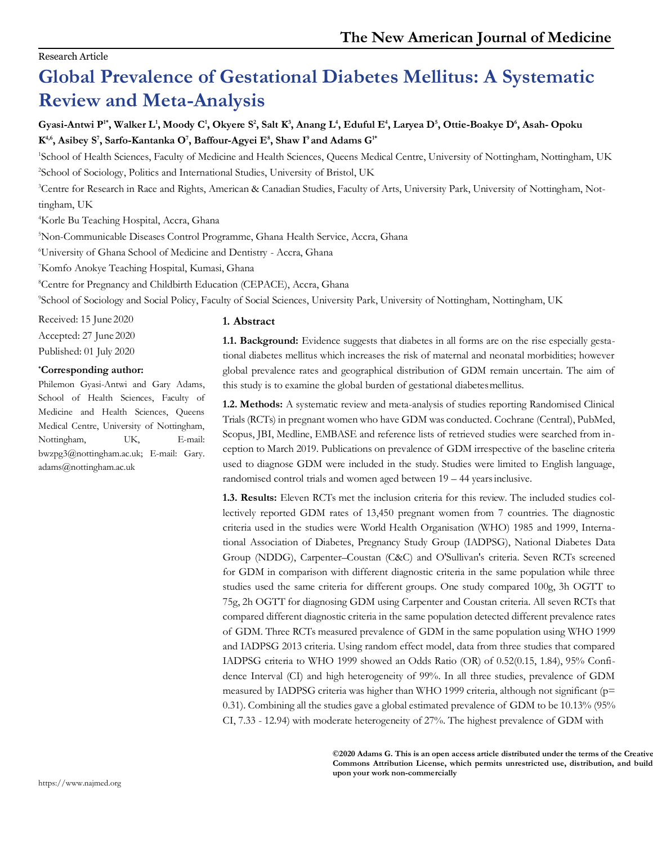## Research Article

# **Global Prevalence of Gestational Diabetes Mellitus: A Systematic Review and Meta-Analysis**

# Gyasi-Antwi P", Walker L', Moody C', Okyere S<sup>2</sup>, Salt K<sup>3</sup>, Anang L<sup>4</sup>, Eduful E<sup>4</sup>, Laryea D<sup>5</sup>, Ottie-Boakye D<sup>6</sup>, Asah- Opoku **K 4,6, Asibey S<sup>7</sup> , Sarfo-Kantanka O<sup>7</sup> , Baffour-Agyei E<sup>8</sup> , Shaw I<sup>9</sup> and Adams G1\***

<sup>1</sup>School of Health Sciences, Faculty of Medicine and Health Sciences, Queens Medical Centre, University of Nottingham, Nottingham, UK <sup>2</sup>School of Sociology, Politics and International Studies, University of Bristol, UK

3Centre for Research in Race and Rights, American & Canadian Studies, Faculty of Arts, University Park, University of Nottingham, Nottingham, UK

<sup>4</sup>Korle Bu Teaching Hospital, Accra, Ghana

<sup>5</sup>Non-Communicable Diseases Control Programme, Ghana Health Service, Accra, Ghana

<sup>6</sup>University of Ghana School of Medicine and Dentistry - Accra, Ghana

<sup>7</sup>Komfo Anokye Teaching Hospital, Kumasi, Ghana

<sup>8</sup>Centre for Pregnancy and Childbirth Education (CEPACE), Accra, Ghana

<sup>9</sup>School of Sociology and Social Policy, Faculty of Social Sciences, University Park, University of Nottingham, Nottingham, UK

Received: 15 June 2020

Accepted: 27 June 2020

Published: 01 July 2020

## **\*Corresponding author:**

Philemon Gyasi-Antwi and Gary Adams, School of Health Sciences, Faculty of Medicine and Health Sciences, Queens Medical Centre, University of Nottingham, Nottingham, UK, E-mail: bwzpg3@nottingham.ac.uk; E-mail: Gary. [adams@nottingham.ac.uk](mailto:adams@nottingham.ac.uk)

## **1. Abstract**

**1.1. Background:** Evidence suggests that diabetes in all forms are on the rise especially gestational diabetes mellitus which increases the risk of maternal and neonatal morbidities; however global prevalence rates and geographical distribution of GDM remain uncertain. The aim of this study is to examine the global burden of gestational diabetesmellitus.

**1.2. Methods:** A systematic review and meta-analysis of studies reporting Randomised Clinical Trials (RCTs) in pregnant women who have GDM was conducted. Cochrane (Central), PubMed, Scopus, JBI, Medline, EMBASE and reference lists of retrieved studies were searched from inception to March 2019. Publications on prevalence of GDM irrespective of the baseline criteria used to diagnose GDM were included in the study. Studies were limited to English language, randomised control trials and women aged between 19 – 44 yearsinclusive.

**1.3. Results:** Eleven RCTs met the inclusion criteria for this review. The included studies collectively reported GDM rates of 13,450 pregnant women from 7 countries. The diagnostic criteria used in the studies were World Health Organisation (WHO) 1985 and 1999, International Association of Diabetes, Pregnancy Study Group (IADPSG), National Diabetes Data Group (NDDG), Carpenter–Coustan (C&C) and O'Sullivan's criteria. Seven RCTs screened for GDM in comparison with different diagnostic criteria in the same population while three studies used the same criteria for different groups. One study compared 100g, 3h OGTT to 75g, 2h OGTT for diagnosing GDM using Carpenter and Coustan criteria. All seven RCTs that compared different diagnostic criteria in the same population detected different prevalence rates of GDM. Three RCTs measured prevalence of GDM in the same population using WHO 1999 and IADPSG 2013 criteria. Using random effect model, data from three studies that compared IADPSG criteria to WHO 1999 showed an Odds Ratio (OR) of 0.52(0.15, 1.84), 95% Confidence Interval (CI) and high heterogeneity of 99%. In all three studies, prevalence of GDM measured by IADPSG criteria was higher than WHO 1999 criteria, although not significant (p= 0.31). Combining all the studies gave a global estimated prevalence of GDM to be 10.13% (95% CI, 7.33 - 12.94) with moderate heterogeneity of 27%. The highest prevalence of GDM with

> **©2020 Adams G. This is an open access article distributed under the terms of the Creative Commons Attribution License, which permits unrestricted use, distribution, and build upon your work non-commercially**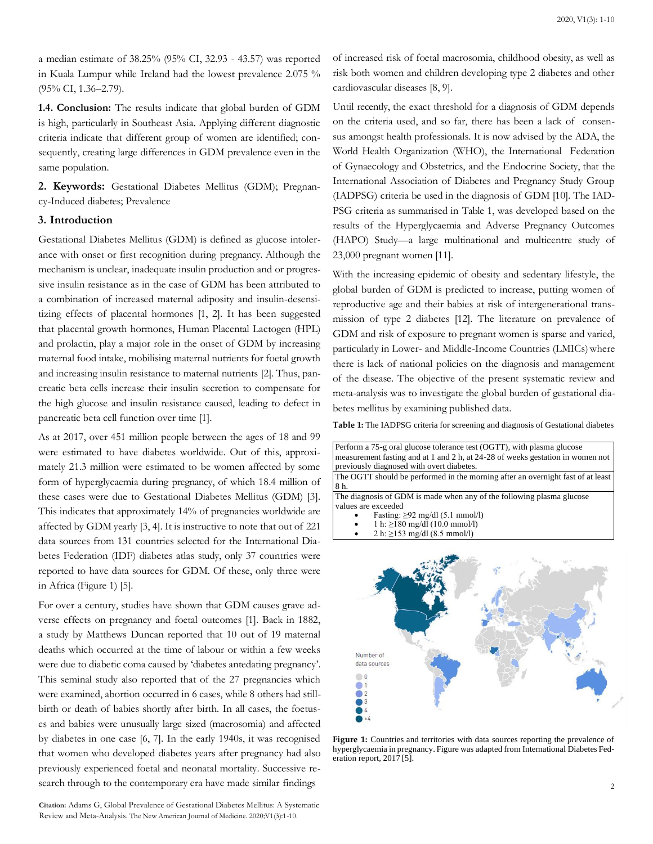a median estimate of 38.25% (95% CI, 32.93 - 43.57) was reported in Kuala Lumpur while Ireland had the lowest prevalence 2.075 % (95% CI, 1.36–2.79).

**1.4. Conclusion:** The results indicate that global burden of GDM is high, particularly in Southeast Asia. Applying different diagnostic criteria indicate that different group of women are identified; consequently, creating large differences in GDM prevalence even in the same population.

**2. Keywords:** Gestational Diabetes Mellitus (GDM); Pregnancy-Induced diabetes; Prevalence

#### **3. Introduction**

Gestational Diabetes Mellitus (GDM) is defined as glucose intolerance with onset or first recognition during pregnancy. Although the mechanism is unclear, inadequate insulin production and or progressive insulin resistance as in the case of GDM has been attributed to a combination of increased maternal adiposity and insulin-desensitizing effects of placental hormones [1, 2]. It has been suggested that placental growth hormones, Human Placental Lactogen (HPL) and prolactin, play a major role in the onset of GDM by increasing maternal food intake, mobilising maternal nutrients for foetal growth and increasing insulin resistance to maternal nutrients [2]. Thus, pancreatic beta cells increase their insulin secretion to compensate for the high glucose and insulin resistance caused, leading to defect in pancreatic beta cell function over time [1].

As at 2017, over 451 million people between the ages of 18 and 99 were estimated to have diabetes worldwide. Out of this, approximately 21.3 million were estimated to be women affected by some form of hyperglycaemia during pregnancy, of which 18.4 million of these cases were due to Gestational Diabetes Mellitus (GDM) [3]. This indicates that approximately 14% of pregnancies worldwide are affected by GDM yearly [3, 4]. It is instructive to note that out of 221 data sources from 131 countries selected for the International Diabetes Federation (IDF) diabetes atlas study, only 37 countries were reported to have data sources for GDM. Of these, only three were in Africa (Figure 1) [5].

For over a century, studies have shown that GDM causes grave adverse effects on pregnancy and foetal outcomes [1]. Back in 1882, a study by Matthews Duncan reported that 10 out of 19 maternal deaths which occurred at the time of labour or within a few weeks were due to diabetic coma caused by 'diabetes antedating pregnancy'. This seminal study also reported that of the 27 pregnancies which were examined, abortion occurred in 6 cases, while 8 others had stillbirth or death of babies shortly after birth. In all cases, the foetuses and babies were unusually large sized (macrosomia) and affected by diabetes in one case [6, 7]. In the early 1940s, it was recognised that women who developed diabetes years after pregnancy had also previously experienced foetal and neonatal mortality. Successive research through to the contemporary era have made similar findings

**Citation:** Adams G, Global Prevalence of Gestational Diabetes Mellitus: A Systematic Review and Meta-Analysis. The New American Journal of Medicine. 2020;V1(3):1-10.

of increased risk of foetal macrosomia, childhood obesity, as well as risk both women and children developing type 2 diabetes and other cardiovascular diseases [8, 9].

Until recently, the exact threshold for a diagnosis of GDM depends on the criteria used, and so far, there has been a lack of consensus amongst health professionals. It is now advised by the ADA, the World Health Organization (WHO), the International Federation of Gynaecology and Obstetrics, and the Endocrine Society, that the International Association of Diabetes and Pregnancy Study Group (IADPSG) criteria be used in the diagnosis of GDM [10]. The IAD-PSG criteria as summarised in Table 1, was developed based on the results of the Hyperglycaemia and Adverse Pregnancy Outcomes (HAPO) Study—a large multinational and multicentre study of 23,000 pregnant women [11].

With the increasing epidemic of obesity and sedentary lifestyle, the global burden of GDM is predicted to increase, putting women of reproductive age and their babies at risk of intergenerational transmission of type 2 diabetes [12]. The literature on prevalence of GDM and risk of exposure to pregnant women is sparse and varied, particularly in Lower- and Middle-Income Countries (LMICs) where there is lack of national policies on the diagnosis and management of the disease. The objective of the present systematic review and meta-analysis was to investigate the global burden of gestational diabetes mellitus by examining published data.

**Table 1:** The IADPSG criteria for screening and diagnosis of Gestational diabetes



Figure 1: Countries and territories with data sources reporting the prevalence of hyperglycaemia in pregnancy. Figure was adapted from International Diabetes Federation report, 2017 [5].

data source:  $\bigcirc$  0  $\bullet$  $\bigcirc$  2  $\bigcirc$  3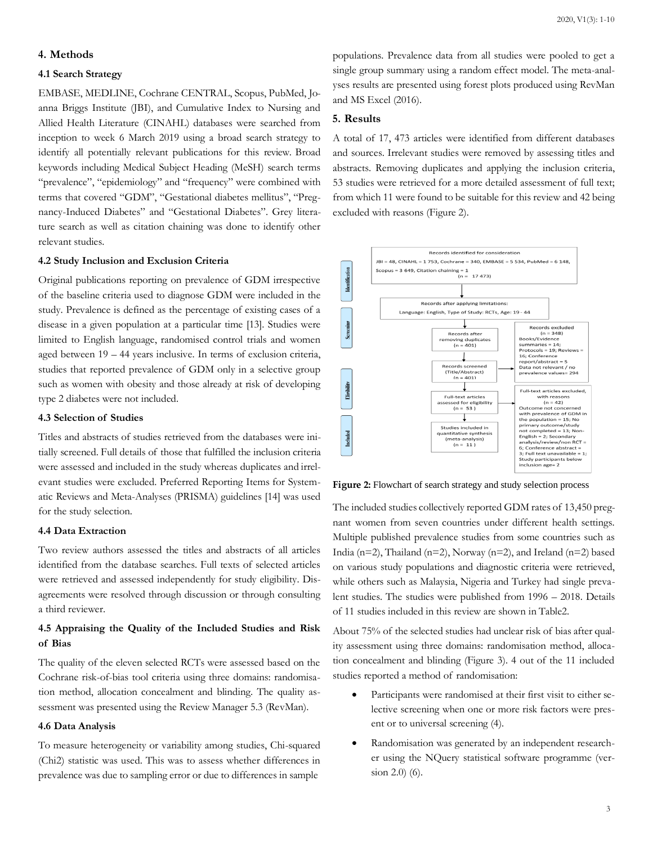#### **4. Methods**

#### **4.1 Search Strategy**

EMBASE, MEDLINE, Cochrane CENTRAL, Scopus, PubMed, Joanna Briggs Institute (JBI), and Cumulative Index to Nursing and Allied Health Literature (CINAHL) databases were searched from inception to week 6 March 2019 using a broad search strategy to identify all potentially relevant publications for this review. Broad keywords including Medical Subject Heading (MeSH) search terms "prevalence", "epidemiology" and "frequency" were combined with terms that covered "GDM", "Gestational diabetes mellitus", "Pregnancy-Induced Diabetes" and "Gestational Diabetes". Grey literature search as well as citation chaining was done to identify other relevant studies.

#### **4.2 Study Inclusion and Exclusion Criteria**

Original publications reporting on prevalence of GDM irrespective of the baseline criteria used to diagnose GDM were included in the study. Prevalence is defined as the percentage of existing cases of a disease in a given population at a particular time [13]. Studies were limited to English language, randomised control trials and women aged between 19 – 44 years inclusive. In terms of exclusion criteria, studies that reported prevalence of GDM only in a selective group such as women with obesity and those already at risk of developing type 2 diabetes were not included.

#### **4.3 Selection of Studies**

Titles and abstracts of studies retrieved from the databases were initially screened. Full details of those that fulfilled the inclusion criteria were assessed and included in the study whereas duplicates and irrelevant studies were excluded. Preferred Reporting Items for Systematic Reviews and Meta-Analyses (PRISMA) guidelines [14] was used for the study selection.

#### **4.4 Data Extraction**

Two review authors assessed the titles and abstracts of all articles identified from the database searches. Full texts of selected articles were retrieved and assessed independently for study eligibility. Disagreements were resolved through discussion or through consulting a third reviewer.

## **4.5 Appraising the Quality of the Included Studies and Risk of Bias**

The quality of the eleven selected RCTs were assessed based on the Cochrane risk-of-bias tool criteria using three domains: randomisation method, allocation concealment and blinding. The quality assessment was presented using the Review Manager 5.3 (RevMan).

### **4.6 Data Analysis**

To measure heterogeneity or variability among studies, Chi-squared (Chi2) statistic was used. This was to assess whether differences in prevalence was due to sampling error or due to differences in sample

populations. Prevalence data from all studies were pooled to get a single group summary using a random effect model. The meta-analyses results are presented using forest plots produced using RevMan and MS Excel (2016).

## **5. Results**

A total of 17, 473 articles were identified from different databases and sources. Irrelevant studies were removed by assessing titles and abstracts. Removing duplicates and applying the inclusion criteria, 53 studies were retrieved for a more detailed assessment of full text; from which 11 were found to be suitable for this review and 42 being excluded with reasons (Figure 2).



Figure 2: Flowchart of search strategy and study selection process

The included studies collectively reported GDM rates of 13,450 pregnant women from seven countries under different health settings. Multiple published prevalence studies from some countries such as India ( $n=2$ ), Thailand ( $n=2$ ), Norway ( $n=2$ ), and Ireland ( $n=2$ ) based on various study populations and diagnostic criteria were retrieved, while others such as Malaysia, Nigeria and Turkey had single prevalent studies. The studies were published from 1996 – 2018. Details of 11 studies included in this review are shown in Table2.

About 75% of the selected studies had unclear risk of bias after quality assessment using three domains: randomisation method, allocation concealment and blinding (Figure 3). 4 out of the 11 included studies reported a method of randomisation:

- Participants were randomised at their first visit to either selective screening when one or more risk factors were present or to universal screening (4).
- Randomisation was generated by an independent researcher using the NQuery statistical software programme (version 2.0) (6).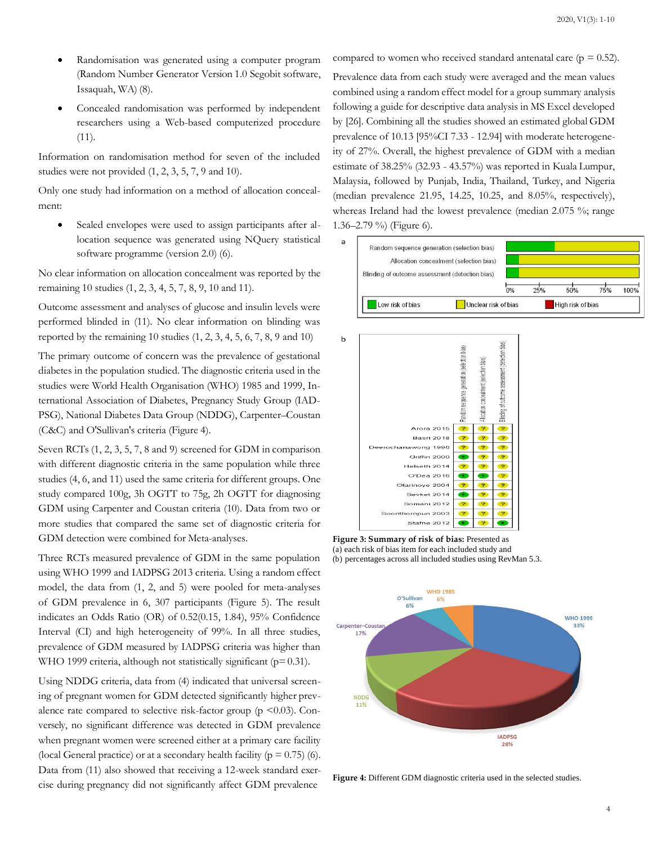- Randomisation was generated using a computer program (Random Number Generator Version 1.0 Segobit software, Issaquah, WA) (8).
- Concealed randomisation was performed by independent researchers using a Web-based computerized procedure (11).

Information on randomisation method for seven of the included studies were not provided (1, 2, 3, 5, 7, 9 and 10).

Only one study had information on a method of allocation concealment:

Sealed envelopes were used to assign participants after allocation sequence was generated using NQuery statistical software programme (version 2.0) (6).

No clear information on allocation concealment was reported by the remaining 10 studies (1, 2, 3, 4, 5, 7, 8, 9, 10 and 11).

Outcome assessment and analyses of glucose and insulin levels were performed blinded in (11). No clear information on blinding was reported by the remaining 10 studies  $(1, 2, 3, 4, 5, 6, 7, 8, 9, 10)$ 

The primary outcome of concern was the prevalence of gestational diabetes in the population studied. The diagnostic criteria used in the studies were World Health Organisation (WHO) 1985 and 1999, International Association of Diabetes, Pregnancy Study Group (IAD-PSG), National Diabetes Data Group (NDDG), Carpenter–Coustan (C&C) and O'Sullivan's criteria (Figure 4).

Seven RCTs (1, 2, 3, 5, 7, 8 and 9) screened for GDM in comparison with different diagnostic criteria in the same population while three studies (4, 6, and 11) used the same criteria for different groups. One study compared 100g, 3h OGTT to 75g, 2h OGTT for diagnosing GDM using Carpenter and Coustan criteria (10). Data from two or more studies that compared the same set of diagnostic criteria for GDM detection were combined for Meta-analyses.

Three RCTs measured prevalence of GDM in the same population using WHO 1999 and IADPSG 2013 criteria. Using a random effect model, the data from (1, 2, and 5) were pooled for meta-analyses of GDM prevalence in 6, 307 participants (Figure 5). The result indicates an Odds Ratio (OR) of 0.52(0.15, 1.84), 95% Confidence Interval (CI) and high heterogeneity of 99%. In all three studies, prevalence of GDM measured by IADPSG criteria was higher than WHO 1999 criteria, although not statistically significant ( $p=0.31$ ).

Using NDDG criteria, data from (4) indicated that universal screening of pregnant women for GDM detected significantly higher prevalence rate compared to selective risk-factor group ( $p \le 0.03$ ). Conversely, no significant difference was detected in GDM prevalence when pregnant women were screened either at a primary care facility (local General practice) or at a secondary health facility ( $p = 0.75$ ) (6). Data from (11) also showed that receiving a 12-week standard exercise during pregnancy did not significantly affect GDM prevalence

compared to women who received standard antenatal care ( $p = 0.52$ ).

Prevalence data from each study were averaged and the mean values combined using a random effect model for a group summary analysis following a guide for descriptive data analysis in MS Excel developed by [26]. Combining all the studies showed an estimated global GDM prevalence of 10.13 [95%CI 7.33 - 12.94] with moderate heterogeneity of 27%. Overall, the highest prevalence of GDM with a median estimate of 38.25% (32.93 - 43.57%) was reported in Kuala Lumpur, Malaysia, followed by Punjab, India, Thailand, Turkey, and Nigeria (median prevalence 21.95, 14.25, 10.25, and 8.05%, respectively), whereas Ireland had the lowest prevalence (median 2.075 %; range 1.36–2.79 %) (Figure 6).





**Figure 3: Summary of risk of bias:** Presented as (a) each risk of bias item for each included study and (b) percentages across all included studies using RevMan 5.3.



**Figure 4:** Different GDM diagnostic criteria used in the selected studies.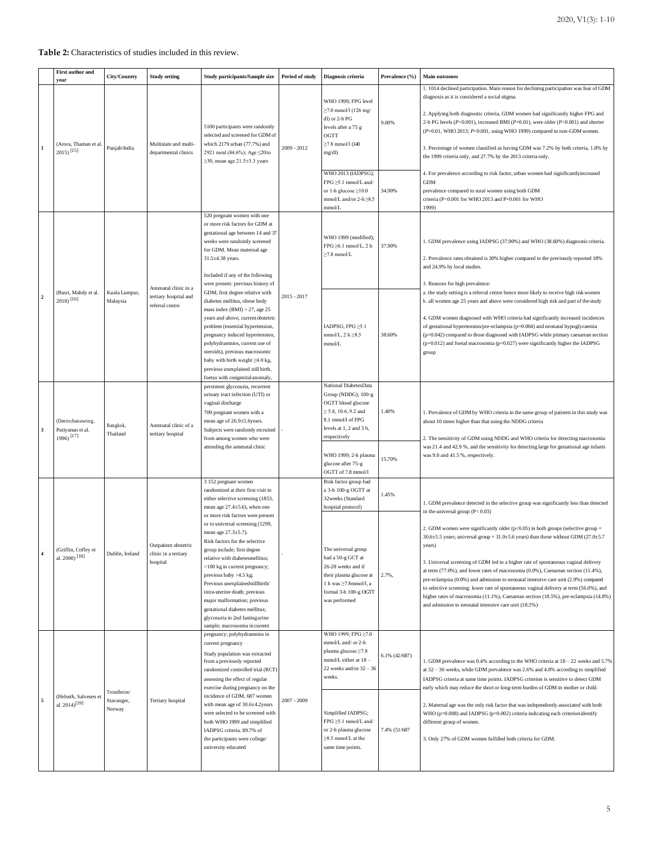#### **Table 2:** Characteristics of studies included in this review.

|                | <b>First author and</b><br>vear                     | City/Country                       | <b>Study setting</b>                                              | Study participants/Sample size                                                                                                                                                                                                                                                                                                                                                                                                                                                                                                                                                                                   | Period of study | Diagnosis criteria                                                                                                                                                                                                                                                            | Prevalence (%)                     | <b>Main outcomes</b>                                                                                                                                                                                                                                                                                                                                                                                                                                                                                                                                                                                                                                                                                                                                                                                                                          |
|----------------|-----------------------------------------------------|------------------------------------|-------------------------------------------------------------------|------------------------------------------------------------------------------------------------------------------------------------------------------------------------------------------------------------------------------------------------------------------------------------------------------------------------------------------------------------------------------------------------------------------------------------------------------------------------------------------------------------------------------------------------------------------------------------------------------------------|-----------------|-------------------------------------------------------------------------------------------------------------------------------------------------------------------------------------------------------------------------------------------------------------------------------|------------------------------------|-----------------------------------------------------------------------------------------------------------------------------------------------------------------------------------------------------------------------------------------------------------------------------------------------------------------------------------------------------------------------------------------------------------------------------------------------------------------------------------------------------------------------------------------------------------------------------------------------------------------------------------------------------------------------------------------------------------------------------------------------------------------------------------------------------------------------------------------------|
|                | (Arora, Thaman et al<br>$2015$ <sup>[15]</sup>      | Punjab/India                       | Multistate and multi-<br>departmental clinics                     | 5100 participants were randomly<br>selected and screened for GDM of<br>which 2179 urban (77.7%) and<br>2921 rural (84.6%); Age ≤20to<br>$\geq$ 30, mean age 21.5 $\pm$ 3.3 years                                                                                                                                                                                                                                                                                                                                                                                                                                 | 2009 - 2012     | WHO 1999; FPG level<br>$\geq$ 7.0 mmol/l (126 mg/<br>dl) or 2-h PG<br>levels after a 75 g<br>OGTT<br>$≥7.8$ mmol/l (140<br>mg/dl)<br>WHO 2013 (IADPSG);                                                                                                                       | 9.00%                              | 1. 1014 declined participation. Main reason for declining participation was fear of GDM<br>diagnosis as it is considered a social stigma.<br>2. Applying both diagnostic criteria, GDM women had significantly higher FPG and<br>2-h PG levels ( $P<0.001$ ), increased BMI ( $P=0.01$ ), were older ( $P<0.001$ ) and shorter<br>(P=0.01, WHO 2013; P<0.001, using WHO 1999) compared to non-GDM women.<br>3. Percentage of women classified as having GDM was 7.2% by both criteria, 1.8% by<br>the 1999 criteria only, and 27.7% by the 2013 criteria only.<br>4. For prevalence according to risk factor, urban women had significantlyincreased                                                                                                                                                                                          |
|                |                                                     |                                    |                                                                   |                                                                                                                                                                                                                                                                                                                                                                                                                                                                                                                                                                                                                  |                 | FPG ≥5.1 mmol/L and/<br>or 1-h glucose $\geq$ 10.0<br>mmol/L and/or $2-h \geq 8.5$<br>mmol/L                                                                                                                                                                                  | 34.90%                             | <b>GDM</b><br>prevalence compared to rural women using both GDM<br>criteria (P<0.001 for WHO 2013 and P=0.001 for WHO<br>1999)                                                                                                                                                                                                                                                                                                                                                                                                                                                                                                                                                                                                                                                                                                                |
|                | (Basri, Mahdy et al.<br>$2018$ <sup>[16]</sup>      | Kuala Lumpur,<br>Malaysia          | Antenatal clinic in a<br>tertiary hospital and<br>referral centre | 520 pregnant women with one<br>or more risk factors for GDM at<br>gestational age between 14 and 37<br>weeks were randomly screened<br>for GDM. Mean maternal age<br>31.5±4.38 years.<br>Included if any of the following                                                                                                                                                                                                                                                                                                                                                                                        | $2015 - 2017$   | WHO 1999 (modified);<br>FPG ≥6.1 mmol/L, 2 h<br>$\geq$ 7.8 mmol/L                                                                                                                                                                                                             | 37.90%                             | 1. GDM prevalence using IADPSG (37.90%) and WHO (38.60%) diagnostic criteria.<br>2. Prevalence rates obtained is 30% higher compared to the previously reported 18%<br>and 24.9% by local studies.                                                                                                                                                                                                                                                                                                                                                                                                                                                                                                                                                                                                                                            |
|                |                                                     |                                    |                                                                   | were present: previous history of<br>GDM, first degree relative with<br>diabetes mellitus, obese body<br>mass index $(BMI) > 27$ , age 25<br>years and above, current obstetric<br>problem (essential hypertension,<br>pregnancy induced hypertension,<br>polyhydramnios, current use of<br>steroids), previous macrosomic<br>baby with birth weight $\geq 4.0$ kg,<br>previous unexplained still birth,<br>foetus with congenital anomaly,                                                                                                                                                                      |                 | IADPSG; FPG $\geq 5.1$<br>mmol/L, $2 h \ge 8.5$<br>mmol/L                                                                                                                                                                                                                     | 38.60%                             | 3. Reasons for high prevalence:<br>a. the study setting is a referral centre hence more likely to receive high risk women<br>b. all women age 25 years and above were considered high risk and part of the study<br>4. GDM women diagnosed with WHO criteria had significantly increased incidences<br>of gestational hypertension/pre-eclampsia (p=0.004) and neonatal hypoglycaemia<br>(p=0.042) compared to those diagnosed with IADPSG while primary caesarean section<br>$(p=0.012)$ and foetal macrosomia $(p=0.027)$ were significantly higher the IADPSG<br>group                                                                                                                                                                                                                                                                     |
| 3              | (Deerochan awong,<br>Putiyanun et al.<br>1996) [17] | Bangkok,<br>Thailand               | Antenatal clinic of a<br>tertiary hospital                        | persistent glycosuria, recurrent<br>urinary tract infection (UTI) or<br>vaginal discharge<br>709 pregnant women with a<br>mean age of 26.9±5.6years.<br>Subjects were randomly recruited<br>from among women who were<br>attending the antenatal clinic                                                                                                                                                                                                                                                                                                                                                          |                 | National DiabetesData<br>Group (NDDG); 100-g<br>OGTT blood glucose<br>$\geq$ 5.8, 10.6, 9.2 and<br>8.1 mmol/l of FPG<br>levels at 1, 2 and 3 h,<br>respectively<br>WHO 1999; 2-h plasma<br>glucose after 75-g                                                                 | 1.40%<br>15.70%                    | 1. Prevalence of GDM by WHO criteria in the same group of patients in this study was<br>about 10 times higher than that using the NDDG criteria<br>2. The sensitivity of GDM using NDDG and WHO criteria for detecting macrosomia<br>was 21.4 and 42.9 %, and the sensitivity for detecting large for gestational age infants<br>was 9.8 and 41.5 %, respectively.                                                                                                                                                                                                                                                                                                                                                                                                                                                                            |
| $\overline{4}$ | (Griffin, Coffey et<br>al. 2000) <sup>[18]</sup>    | Dublin, Ireland                    | Outpatient obstetric<br>clinic in a tertiary<br>hospital          | 3 152 pregnant women<br>randomized at their first visit to<br>either selective screening (1853,<br>mean age $27.4 \pm 5.6$ ), when one<br>or more risk factors were present<br>or to universal screening (1299,<br>mean age 27.3±5.7).<br>Risk factors for the selective<br>group include; first degree<br>relative with diabetesmellitus;<br>>100 kg in current pregnancy;<br>previous baby >4.5 kg;<br>Previous unexplained still birth/<br>intra-uterine death; previous<br>major malformation; previous<br>gestational diabetes mellitus;<br>glycosuria in 2nd fastingurine<br>sample; macrosomia in current |                 | OGTT of 7.8 mmol/l<br>Risk factor group had<br>a 3-h 100-g OGTT at<br>32weeks (Standard<br>hospital protocol)<br>The universal group<br>had a 50-g GCT at<br>26-28 weeks and if<br>their plasma glucose at<br>1 h was ≥7.8mmol/l, a<br>formal 3-h 100-g OGTT<br>was performed | 1.45%<br>2.7%,                     | 1. GDM prevalence detected in the selective group was significantly less than detected<br>in the universal group $(P< 0.03)$<br>2. GDM women were significantly older ( $p<0.05$ ) in both groups (selective group =<br>30.6±5.5 years; universal group = 31.0±5.6 years) than those without GDM (27.0±5.7<br>years)<br>3. Universal screening of GDM led to a higher rate of spontaneous vaginal delivery<br>at term $(77.0\%)$ , and lower rates of macrosomia $(0.0\%)$ , Caesarean section $(11.4\%)$ ,<br>pre-eclampsia (0.0%) and admission to neonatal intensive care unit (2.9%) compared<br>to selective screening: lower rate of spontaneous vaginal delivery at term (56.0%), and<br>higher rates of macrosomia (11.1%), Caesarean section (18.5%), pre-eclampsia (14.8%)<br>and admission to neonatal intensive care unit (18.5%) |
| 5              | (Helseth, Salvesen et<br>al. $2014$ <sup>[19]</sup> | Trondheim/<br>Stavanger,<br>Norway | Tertiary hospital                                                 | pregnancy; polyhydramnios in<br>current pregnancy<br>Study population was extracted<br>from a previously reported<br>randomized controlled trial (RCT)<br>assessing the effect of regular<br>exercise during pregnancy on the<br>incidence of GDM. 687 women<br>with mean age of $30.6\pm4.2$ years<br>were selected to be screened with<br>both WHO 1999 and simplified<br>IADPSG criteria. 89.7% of<br>the participants were college/<br>university educated                                                                                                                                                   | $2007 - 2009$   | WHO 1999; FPG≥7.0<br>mmol/L and/ or 2-h<br>plasma glucose ≥7.8<br>mmol/L either at 18 -<br>22 weeks and/or $32 - 36$<br>weeks.<br>Simplified IADPSG;<br>FPG ≥5.1 mmol/L and/<br>or 2-h plasma glucose<br>$\geq$ 8.5 mmol/L at the<br>same time points.                        | $6.1\%$ $(42/687)$<br>7.4% (51/687 | 1. GDM prevalence was 0.4% according to the WHO criteria at 18 - 22 weeks and 5.7%<br>at 32 - 36 weeks, while GDM prevalence was 2.6% and 4.8% according to simplified<br>IADPSG criteria at same time points. IADPSG criterion is sensitive to detect GDM<br>early which may reduce the short or long-term burden of GDM in mother or child.<br>2. Maternal age was the only risk factor that was independently associated with both<br>WHO (p=0.008) and IADPSG (p=0.002) criteria indicating each criterion identify<br>different group of women.<br>3. Only 27% of GDM women fulfilled both criteria for GDM.                                                                                                                                                                                                                             |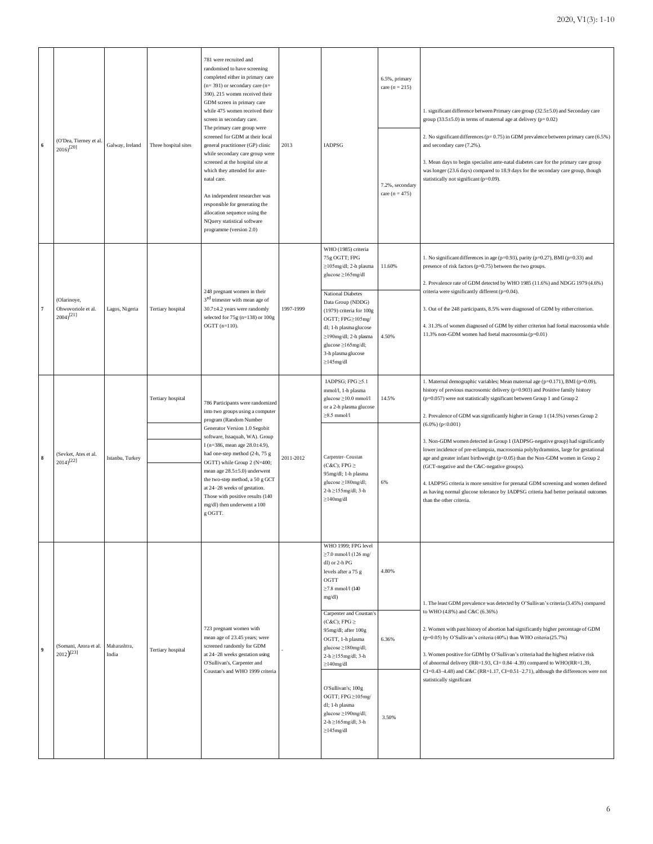| $\bf{6}$       | (O'Dea, Tierney et al.<br>$2016$ <sup>[20]</sup>     | Galway, Ireland       | Three hospital sites | 781 were recruited and<br>randomised to have screening<br>completed either in primary care<br>$(n=391)$ or secondary care $(n=$<br>390). 215 women received their<br>GDM screen in primary care<br>while 475 women received their<br>screen in secondary care.<br>The primary care group were<br>screened for GDM at their local<br>general practitioner (GP) clinic<br>while secondary care group were<br>screened at the hospital site at<br>which they attended for ante-<br>natal care.<br>An independent researcher was<br>responsible for generating the<br>allocation sequence using the<br>NQuery statistical software<br>programme (version 2.0) | 2013      | IADPSG                                                                                                                                                                                                                                                                                                                                                                                                                                                       | 6.5%, primary<br>care $(n = 215)$<br>7.2%, secondary<br>care $(n = 475)$ | 1. significant difference between Primary care group (32.5±5.0) and Secondary care<br>group $(33.5 \pm 5.0)$ in terms of maternal age at delivery (p= 0.02)<br>2. No significant differences (p= 0.75) in GDM prevalence between primary care (6.5%)<br>and secondary care (7.2%).<br>3. Mean days to begin specialist ante-natal diabetes care for the primary care group<br>was longer (23.6 days) compared to 18.9 days for the secondary care group, though<br>statistically not significant (p=0.09).                                                                                                                                                                                                                                                                                                                                                           |
|----------------|------------------------------------------------------|-----------------------|----------------------|-----------------------------------------------------------------------------------------------------------------------------------------------------------------------------------------------------------------------------------------------------------------------------------------------------------------------------------------------------------------------------------------------------------------------------------------------------------------------------------------------------------------------------------------------------------------------------------------------------------------------------------------------------------|-----------|--------------------------------------------------------------------------------------------------------------------------------------------------------------------------------------------------------------------------------------------------------------------------------------------------------------------------------------------------------------------------------------------------------------------------------------------------------------|--------------------------------------------------------------------------|----------------------------------------------------------------------------------------------------------------------------------------------------------------------------------------------------------------------------------------------------------------------------------------------------------------------------------------------------------------------------------------------------------------------------------------------------------------------------------------------------------------------------------------------------------------------------------------------------------------------------------------------------------------------------------------------------------------------------------------------------------------------------------------------------------------------------------------------------------------------|
| 7              | (Olarinoye,<br>Ohwovoriole et al.<br>$(2004)^{[21]}$ | Lagos, Nigeria        | Tertiary hospital    | 248 pregnant women in their<br>$3^{\rm rd}$ trimester with mean age of<br>30.7±4.2 years were randomly<br>selected for 75g (n=138) or 100g<br>$OGTT (n=110).$                                                                                                                                                                                                                                                                                                                                                                                                                                                                                             | 1997-1999 | WHO (1985) criteria<br>75g OGTT; FPG<br>$\geq$ 105mg/dl; 2-h plasma<br>glucose ≥165mg/dl<br><b>National Diabetes</b><br>Data Group (NDDG)<br>$(1979)$ criteria for $100g$<br>OGTT; FPG≥105mg/<br>dl; 1-h plasma glucose<br>≥190mg/dl; 2-h plasma<br>glucose ≥165mg/dl;<br>3-h plasma glucose<br>$\geq$ 145mg/dl                                                                                                                                              | 11.60%<br>4.50%                                                          | 1. No significant differences in age ( $p=0.93$ ), parity ( $p=0.27$ ), BMI ( $p=0.33$ ) and<br>presence of risk factors ( $p=0.75$ ) between the two groups.<br>2. Prevalence rate of GDM detected by WHO 1985 (11.6%) and NDGG 1979 (4.6%)<br>criteria were significantly different (p=0.04).<br>3. Out of the 248 participants, 8.5% were diagnosed of GDM by either criterion.<br>4. 31.3% of women diagnosed of GDM by either criterion had foetal macrosomia while<br>11.3% non-GDM women had foetal macrosomia (p=0.01)                                                                                                                                                                                                                                                                                                                                       |
| $\bf8$         | (Sevket, Ates et al.<br>$2014$ <sup>[22]</sup>       | Istanbu, Turkey       | Tertiary hospital    | 786 Participants were randomized<br>into two groups using a computer<br>program (Random Number<br>Generator Version 1.0 Segobit<br>software, Issaquah, WA). Group<br>I (n=386, mean age 28.0±4.9),<br>had one-step method (2-h, 75 g<br>OGTT) while Group 2 (N=400;<br>mean age 28.5±5.0) underwent<br>the two-step method, a 50 g GCT<br>at 24-28 weeks of gestation.<br>Those with positive results (140<br>mg/dl) then underwent a 100<br>g OGTT.                                                                                                                                                                                                      | 2011-2012 | IADPSG; FPG ≥5.1<br>mmol/l, 1-h plasma<br>glucose ≥10.0 mmol/l<br>or a 2-h plasma glucose<br>$\geq 8.5$ mmol/l<br>Carpenter-Coustan<br>$(C&C);$ FPG $\geq$<br>95mg/dl; 1-h plasma<br>glucose ≥180mg/dl;<br>$2-h \geq 155$ mg/dl; $3-h$<br>$\geq$ 140mg/dl                                                                                                                                                                                                    | 14.5%<br>6%                                                              | 1. Maternal demographic variables; Mean maternal age (p=0.171), BMI (p=0.09),<br>history of previous macrosomic delivery (p=0.903) and Positive family history<br>(p=0.057) were not statistically significant between Group 1 and Group 2<br>2. Prevalence of GDM was significantly higher in Group 1 (14.5%) verses Group 2<br>$(6.0\%) (p<0.001)$<br>3. Non-GDM women detected in Group 1 (IADPSG-negative group) had significantly<br>lower incidence of pre-eclampsia, macrosomia polyhydramnios, large for gestational<br>age and greater infant birthweight (p<0.05) than the Non-GDM women in Group 2<br>(GCT-negative and the C&C-negative groups).<br>4. IADPSG criteria is more sensitive for prenatal GDM screening and women defined<br>as having normal glucose tolerance by IADPSG criteria had better perinatal outcomes<br>than the other criteria. |
| $\overline{9}$ | (Somani, Arora et al.<br>$(2012)^{[23]}$             | Maharashtra,<br>India | Tertiary hospital    | 723 pregnant women with<br>mean age of 23.45 years; were<br>screened randomly for GDM<br>at 24-28 weeks gestation using<br>O'Sullivan's, Carpenter and<br>Coustan's and WHO 1999 criteria                                                                                                                                                                                                                                                                                                                                                                                                                                                                 |           | WHO 1999; FPG level<br>$\geq$ 7.0 mmol/l (126 mg/<br>dl) or 2-h PG<br>levels after a 75 g<br>$_{\mathrm{OGTT}}$<br>$\geq$ 7.8 mmol/l (140<br>mg/dl)<br>Carpenter and Coustan's<br>$(C&C);$ FPG $\geq$<br>95mg/dl; after 100g<br>OGTT, 1-h plasma<br>glucose ≥180mg/dl;<br>$2-h \geq 155$ mg/dl; $3-h$<br>$\geq$ 140mg/dl<br>O'Sullivan's; 100g<br>OGTT; FPG≥105mg/<br>dl; 1-h plasma<br>glucose ≥190mg/dl;<br>$2-h \geq 165$ mg/dl; $3-h$<br>$\geq$ 145mg/dl | 4.80%<br>6.36%<br>3.50%                                                  | 1. The least GDM prevalence was detected by O'Sullivan's criteria (3.45%) compared<br>to WHO (4.8%) and C&C (6.36%)<br>2. Women with past history of abortion had significantly higher percentage of GDM<br>(p=0.05) by O'Sullivan's criteria (40%) than WHO criteria (25.7%)<br>3. Women positive for GDM by O'Sullivan's criteria had the highest relative risk<br>of abnormal delivery (RR=1.93, CI=0.84-4.39) compared to WHO(RR=1.39,<br>CI=0.43-4.48) and C&C (RR=1.17, CI=0.51-2.71), although the differences were not<br>statistically significant                                                                                                                                                                                                                                                                                                          |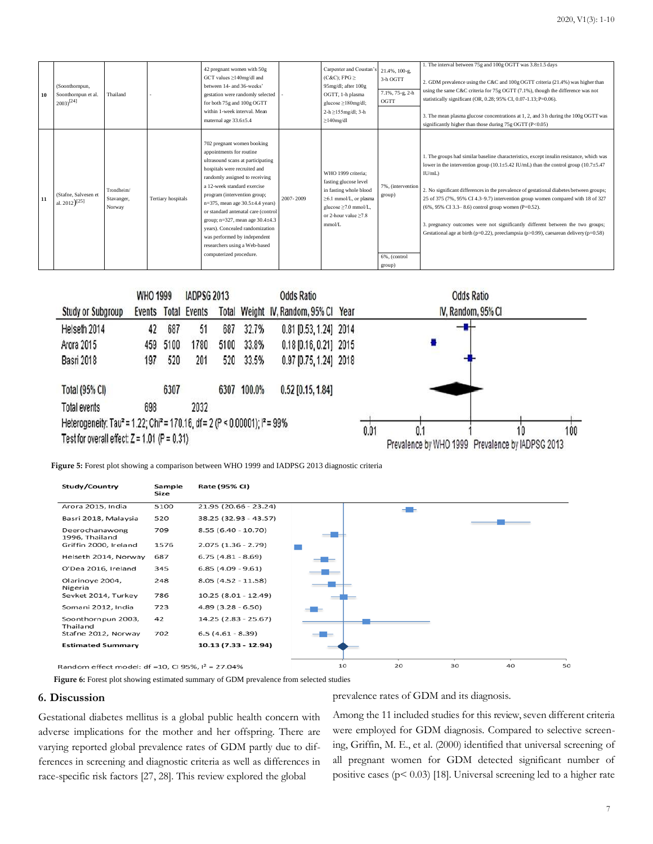| 10 | (Soonthornpun,<br>Soonthornpun et al.<br>$2003$ <sup>[24]</sup> | Thailand                           |                    | 42 pregnant women with 50g<br>GCT values ≥140mg/dl and<br>between 14- and 36-weeks'<br>gestation were randomly selected<br>for both 75g and 100g OGTT<br>within 1-week interval. Mean<br>maternal age 33.6±5.4                                                                                                                                                                                                                                                                         |           | Carpenter and Coustan's<br>$(C&C)$ ; FPG $\geq$<br>95mg/dl; after 100g<br>OGTT, 1-h plasma<br>glucose $\geq$ 180mg/dl;<br>$2-h \geq 155$ mg/dl; $3-h$<br>$\geq$ 140mg/dl | 21.4%, 100-g,<br>3-h OGTT<br>7.1%, 75-g, 2-h<br>OGTT  | 1. The interval between 75g and 100g OGTT was 3.8±1.5 days<br>2. GDM prevalence using the C&C and 100g OGTT criteria (21.4%) was higher than<br>using the same C&C criteria for $75g$ OGTT (7.1%), though the difference was not<br>statistically significant (OR, 0.28; 95% CI, 0.07-1.13; P=0.06).<br>3. The mean plasma glucose concentrations at 1, 2, and 3 h during the 100g OGTT was<br>significantly higher than those during $75g$ OGTT (P<0.05)                                                                                                                                                                            |
|----|-----------------------------------------------------------------|------------------------------------|--------------------|----------------------------------------------------------------------------------------------------------------------------------------------------------------------------------------------------------------------------------------------------------------------------------------------------------------------------------------------------------------------------------------------------------------------------------------------------------------------------------------|-----------|--------------------------------------------------------------------------------------------------------------------------------------------------------------------------|-------------------------------------------------------|--------------------------------------------------------------------------------------------------------------------------------------------------------------------------------------------------------------------------------------------------------------------------------------------------------------------------------------------------------------------------------------------------------------------------------------------------------------------------------------------------------------------------------------------------------------------------------------------------------------------------------------|
| 11 | (Stafne, Salvesen et<br>al. 2012) <sup>[25]</sup>               | Trondheim/<br>Stavanger,<br>Norway | Tertiary hospitals | 702 pregnant women booking<br>appointments for routine<br>ultrasound scans at participating<br>hospitals were recruited and<br>randomly assigned to receiving<br>a 12-week standard exercise<br>program (intervention group;<br>$n=375$ , mean age $30.5\pm4.4$ years)<br>or standard antenatal care (control<br>group; $n=327$ , mean age $30.4\pm4.3$<br>years). Concealed randomization<br>was performed by independent<br>researchers using a Web-based<br>computerized procedure. | 2007-2009 | WHO 1999 criteria:<br>fasting glucose level<br>in fasting whole blood<br>$\geq 6.1$ mmol/L, or plasma<br>glucose >7.0 mmol/L.<br>or 2-hour value >7.8<br>mmol/L          | 7%, (intervention<br>group)<br>6%, (control<br>group) | 1. The groups had similar baseline characteristics, except insulin resistance, which was<br>lower in the intervention group (10.1 $\pm$ 5.42 IU/mL) than the control group (10.7 $\pm$ 5.47<br>IU/mL)<br>2. No significant differences in the prevalence of gestational diabetes between groups;<br>25 of 375 (7%, 95% CI 4.3–9.7) intervention group women compared with 18 of 327<br>$(6\%$ , 95% CI 3.3–8.6) control group women (P=0.52).<br>3. pregnancy outcomes were not significantly different between the two groups;<br>Gestational age at birth ( $p=0.22$ ), preeclampsia ( $p>0.99$ ), caesarean delivery ( $p=0.58$ ) |



**Figure 5:** Forest plot showing a comparison between WHO 1999 and IADPSG 2013 diagnostic criteria



Figure 6: Forest plot showing estimated summary of GDM prevalence from selected studies

#### **6. Discussion**

Gestational diabetes mellitus is a global public health concern with adverse implications for the mother and her offspring. There are varying reported global prevalence rates of GDM partly due to differences in screening and diagnostic criteria as well as differences in race-specific risk factors [27, 28]. This review explored the global

prevalence rates of GDM and its diagnosis.

Among the 11 included studies for this review, seven different criteria were employed for GDM diagnosis. Compared to selective screening, Griffin, M. E., et al. (2000) identified that universal screening of all pregnant women for GDM detected significant number of positive cases ( $p \le 0.03$ ) [18]. Universal screening led to a higher rate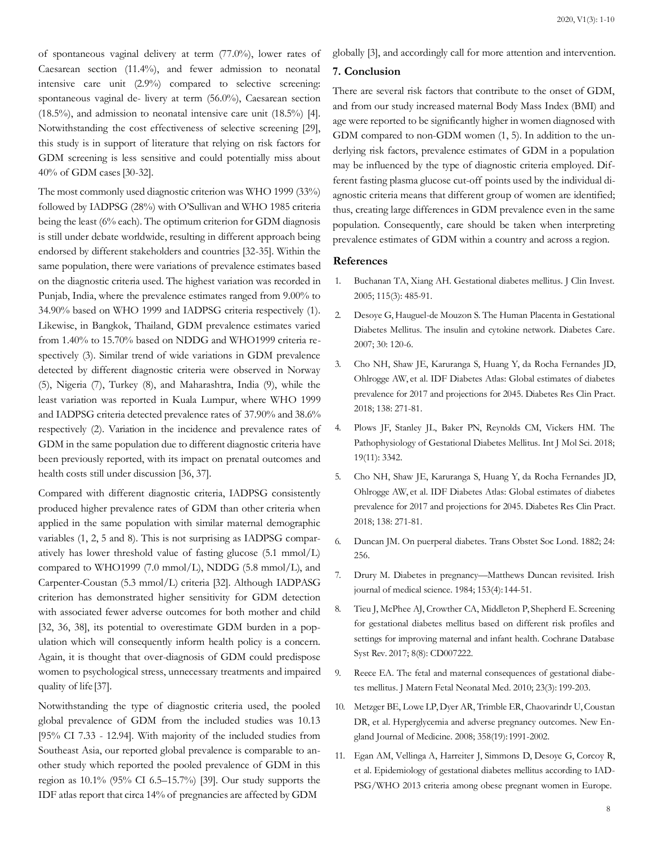of spontaneous vaginal delivery at term (77.0%), lower rates of Caesarean section (11.4%), and fewer admission to neonatal intensive care unit (2.9%) compared to selective screening: spontaneous vaginal de- livery at term (56.0%), Caesarean section (18.5%), and admission to neonatal intensive care unit (18.5%) [4]. Notwithstanding the cost effectiveness of selective screening [29], this study is in support of literature that relying on risk factors for GDM screening is less sensitive and could potentially miss about 40% of GDM cases[30-32].

The most commonly used diagnostic criterion was WHO 1999 (33%) followed by IADPSG (28%) with O'Sullivan and WHO 1985 criteria being the least (6% each). The optimum criterion for GDM diagnosis is still under debate worldwide, resulting in different approach being endorsed by different stakeholders and countries [32-35]. Within the same population, there were variations of prevalence estimates based on the diagnostic criteria used. The highest variation was recorded in Punjab, India, where the prevalence estimates ranged from 9.00% to 34.90% based on WHO 1999 and IADPSG criteria respectively (1). Likewise, in Bangkok, Thailand, GDM prevalence estimates varied from 1.40% to 15.70% based on NDDG and WHO1999 criteria respectively (3). Similar trend of wide variations in GDM prevalence detected by different diagnostic criteria were observed in Norway (5), Nigeria (7), Turkey (8), and Maharashtra, India (9), while the least variation was reported in Kuala Lumpur, where WHO 1999 and IADPSG criteria detected prevalence rates of 37.90% and 38.6% respectively (2). Variation in the incidence and prevalence rates of GDM in the same population due to different diagnostic criteria have been previously reported, with its impact on prenatal outcomes and health costs still under discussion [36, 37].

Compared with different diagnostic criteria, IADPSG consistently produced higher prevalence rates of GDM than other criteria when applied in the same population with similar maternal demographic variables (1, 2, 5 and 8). This is not surprising as IADPSG comparatively has lower threshold value of fasting glucose (5.1 mmol/L) compared to WHO1999 (7.0 mmol/L), NDDG (5.8 mmol/L), and Carpenter-Coustan (5.3 mmol/L) criteria [32]. Although IADPASG criterion has demonstrated higher sensitivity for GDM detection with associated fewer adverse outcomes for both mother and child [32, 36, 38], its potential to overestimate GDM burden in a population which will consequently inform health policy is a concern. Again, it is thought that over-diagnosis of GDM could predispose women to psychological stress, unnecessary treatments and impaired quality of life [37].

Notwithstanding the type of diagnostic criteria used, the pooled global prevalence of GDM from the included studies was 10.13 [95% CI 7.33 - 12.94]. With majority of the included studies from Southeast Asia, our reported global prevalence is comparable to another study which reported the pooled prevalence of GDM in this region as 10.1% (95% CI 6.5–15.7%) [39]. Our study supports the IDF atlas report that circa 14% of pregnancies are affected by GDM

globally [3], and accordingly call for more attention and intervention.

#### **7. Conclusion**

There are several risk factors that contribute to the onset of GDM, and from our study increased maternal Body Mass Index (BMI) and age were reported to be significantly higher in women diagnosed with GDM compared to non-GDM women  $(1, 5)$ . In addition to the underlying risk factors, prevalence estimates of GDM in a population may be influenced by the type of diagnostic criteria employed. Different fasting plasma glucose cut-off points used by the individual diagnostic criteria means that different group of women are identified; thus, creating large differences in GDM prevalence even in the same population. Consequently, care should be taken when interpreting prevalence estimates of GDM within a country and across a region.

#### **References**

- 1. [Buchanan TA, Xiang AH. Gestational diabetes mellitus. J Clin Invest.](https://pubmed.ncbi.nlm.nih.gov/15765129/) 2005; 115(3): 485-91.
- 2. Desoye G, [Hauguel-de](https://pubmed.ncbi.nlm.nih.gov/17596459/) Mouzon S. The Human Placenta in Gestational Diabetes Mellitus. The insulin and cytokine network. Diabetes Car[e.](https://pubmed.ncbi.nlm.nih.gov/17596459/) [2007; 30:](https://pubmed.ncbi.nlm.nih.gov/17596459/) 120-6.
- 3. [Cho NH, Shaw JE, Karuranga S, Huang Y, da Rocha Fernandes JD,](https://pubmed.ncbi.nlm.nih.gov/29496507/) Ohlrogge AW, et al. IDF Diabetes Atlas: Global estimates of diabete[s](https://pubmed.ncbi.nlm.nih.gov/29496507/) prevalence for 2017 and [projections](https://pubmed.ncbi.nlm.nih.gov/29496507/) for 2045. Diabetes Res Clin Pra[ct.](https://pubmed.ncbi.nlm.nih.gov/29496507/) 2018; 138: 271-81.
- 4. [Plows JF, Stanley JL, Baker PN, Reynolds CM, Vickers HM. The](https://pubmed.ncbi.nlm.nih.gov/30373146/) Pathophysiology of Gestational Diabetes Mellitus. Int J Mol Sci. 201[8;](https://pubmed.ncbi.nlm.nih.gov/30373146/) [19\(11\): 3342.](https://pubmed.ncbi.nlm.nih.gov/30373146/)
- 5. Cho NH, Shaw JE, Karuranga S, Huang Y, da Rocha Fernandes JD, Ohlrogge AW, et al. IDF Diabetes Atlas: Global estimates of diabetes prevalence for 2017 and projections for 2045. Diabetes Res Clin Pract. 2018; 138: 271-81.
- 6. Duncan JM. On puerperal diabetes. Trans Obstet Soc Lond. 1882; 24: 256.
- 7. Drury M. Diabetes in pregnancy—[Matthews Duncan revisited. Irish](https://link.springer.com/article/10.1007/BF02939880) journal of medical science. 1984; 153(4):144-51.
- 8. Tieu J, McPhee AJ, Crowther CA, [Middleton P,](https://pubmed.ncbi.nlm.nih.gov/28771289/) Shepherd E. Screening for gestational diabetes mellitus based on different risk profiles an[d](https://pubmed.ncbi.nlm.nih.gov/28771289/) [settings for improving maternal and infant health. Cochrane Database](https://pubmed.ncbi.nlm.nih.gov/28771289/) Syst Rev. 2017; 8(8): CD007222.
- 9. [Reece EA. The fetal and maternal consequences of gestational diabe](https://pubmed.ncbi.nlm.nih.gov/20121460/)tes mellitus. J Matern Fetal Neonatal Med. 2010; 23(3): 199-203.
- 10. Metzger BE, Lowe LP,Dyer AR, Trimble ER, [Chaovarindr](https://pubmed.ncbi.nlm.nih.gov/18463375/) U,Coustan DR, et al. Hyperglycemia and adverse pregnancy outcomes. New E[n](https://pubmed.ncbi.nlm.nih.gov/18463375/)gland [Journal of Medicine. 2008; 358\(19\):1991-2002.](https://pubmed.ncbi.nlm.nih.gov/18463375/)
- 11. [Egan AM, Vellinga A, Harreiter J, Simmons D, Desoye G, Corcoy R,](https://pubmed.ncbi.nlm.nih.gov/28702810/) et al. Epidemiology of gestational diabetes mellitus according to IA[D-](https://pubmed.ncbi.nlm.nih.gov/28702810/)[PSG/WHO](https://pubmed.ncbi.nlm.nih.gov/28702810/) 2013 criteria among obese pregnant women in Europe.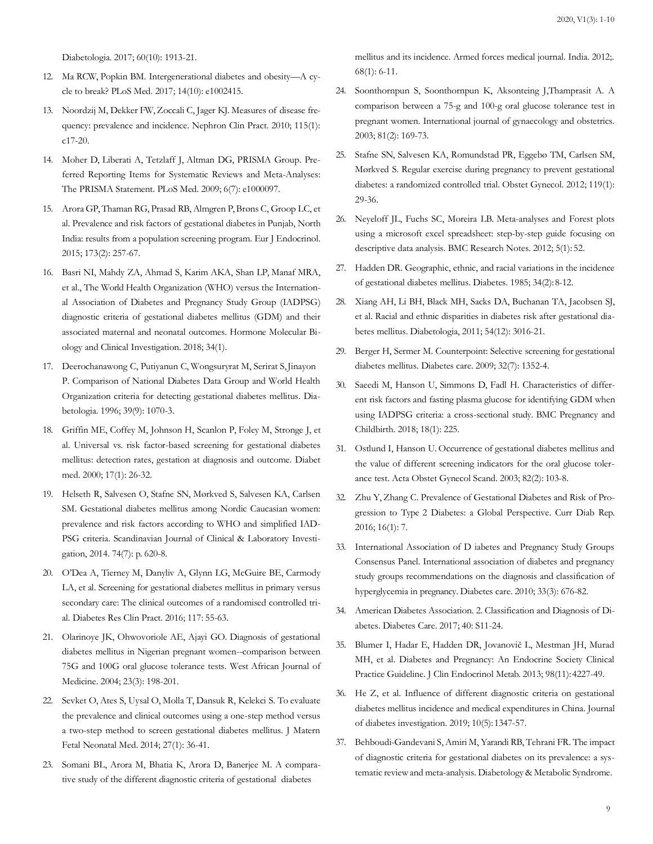[Diabetologia. 2017; 60\(10\): 1913-21.](https://pubmed.ncbi.nlm.nih.gov/28702810/)

- 12. [Ma RCW, Popkin BM. Intergenerational diabetes and obesity](https://www.ncbi.nlm.nih.gov/pmc/articles/PMC5663330/)—A c[y](https://www.ncbi.nlm.nih.gov/pmc/articles/PMC5663330/)cle to break? PLoS Med. 2017; 14(10): e1002415.
- 13. Noordzij M, Dekker [FW,Zoccali](https://pubmed.ncbi.nlm.nih.gov/20173345/) C, Jager KJ. Measures of disease fr[e](https://pubmed.ncbi.nlm.nih.gov/20173345/)quency: prevalence and incidence. Nephron Clin Pract. 2010; 115(1[\):](https://pubmed.ncbi.nlm.nih.gov/20173345/) [c17-20.](https://pubmed.ncbi.nlm.nih.gov/20173345/)
- 14. [Moher D, Liberati A, Tetzlaff J, Altman DG, PRISMA Group. Pre](https://pubmed.ncbi.nlm.nih.gov/19621072/)ferred Reporting Items for Systematic Reviews and Meta-Analyse[s:](https://pubmed.ncbi.nlm.nih.gov/19621072/) [The PRISMA Statement. PLoS Med. 2009; 6\(7\):](https://pubmed.ncbi.nlm.nih.gov/19621072/) e1000097.
- 15. Arora [GP,Thaman](https://pubmed.ncbi.nlm.nih.gov/26012589/) RG, Prasad RB, Almgren P,Brøns C, Groop LC, et al. Prevalence and risk factors of gestational diabetes in Punjab, Nort[h](https://pubmed.ncbi.nlm.nih.gov/26012589/) India: results from a population screening program. Eur J [Endocrinol.](https://pubmed.ncbi.nlm.nih.gov/26012589/) 2015; 173(2): 257-67.
- 16. [Basri NI, Mahdy ZA, Ahmad S, Karim AKA, Shan LP, Manaf MRA,](https://www.semanticscholar.org/paper/The-World-Health-Organization-(WHO)-versus-The-of-Basri-Mahdy/9f9b325f398e34fa74362555f4dbdc8c754d11fd) et al., The World Health Organization (WHO) versus the Internatio[n](https://www.semanticscholar.org/paper/The-World-Health-Organization-(WHO)-versus-The-of-Basri-Mahdy/9f9b325f398e34fa74362555f4dbdc8c754d11fd)al [Association of Diabetes and Pregnancy Study Group \(IADPSG\)](https://www.semanticscholar.org/paper/The-World-Health-Organization-(WHO)-versus-The-of-Basri-Mahdy/9f9b325f398e34fa74362555f4dbdc8c754d11fd) diagnostic criteria of gestational diabetes mellitus (GDM) and thei[r](https://www.semanticscholar.org/paper/The-World-Health-Organization-(WHO)-versus-The-of-Basri-Mahdy/9f9b325f398e34fa74362555f4dbdc8c754d11fd) [associated maternal and neonatal outcomes. Hormone Molecular Bi](https://www.semanticscholar.org/paper/The-World-Health-Organization-(WHO)-versus-The-of-Basri-Mahdy/9f9b325f398e34fa74362555f4dbdc8c754d11fd)ology and Clinical Investigation. 2018; 34(1).
- 17. [Deerochanawong C, Putiyanun C, Wongsuryrat M, Serirat S,Jinayon](https://pubmed.ncbi.nlm.nih.gov/8877291/) [P. Comparison of National Diabetes Data Group and World Health](https://pubmed.ncbi.nlm.nih.gov/8877291/) Organization criteria for detecting gestational diabetes mellitus. Di[a](https://pubmed.ncbi.nlm.nih.gov/8877291/)[betologia. 1996; 39\(9\): 1070-3.](https://pubmed.ncbi.nlm.nih.gov/8877291/)
- 18. Griffin ME, Coffey M, Johnson H, Scanlon P, Foley M, Stronge J, et al. Universal vs. risk factor-based screening for gestational diabetes mellitus: detection rates, gestation at diagnosis and outcome. Diabet med. 2000; 17(1): 26-32.
- 19. [Helseth R, Salvesen O, Stafne SN, Mørkved S, Salvesen KA, Carlsen](https://www.researchgate.net/publication/263548916_Gestational_diabetes_mellitus_among_Nordic_Caucasian_women_Prevalence_and_risk_factors_according_to_WHO_and_simplified_IADPSG_criteria) SM. Gestational diabetes mellitus among Nordic Caucasian wome[n:](https://www.researchgate.net/publication/263548916_Gestational_diabetes_mellitus_among_Nordic_Caucasian_women_Prevalence_and_risk_factors_according_to_WHO_and_simplified_IADPSG_criteria) [prevalence and risk factors according to WHO and simplified IAD-](https://www.researchgate.net/publication/263548916_Gestational_diabetes_mellitus_among_Nordic_Caucasian_women_Prevalence_and_risk_factors_according_to_WHO_and_simplified_IADPSG_criteria)PSG criteria. Scandinavian Journal of Clinical & Laboratory Inves[ti](https://www.researchgate.net/publication/263548916_Gestational_diabetes_mellitus_among_Nordic_Caucasian_women_Prevalence_and_risk_factors_according_to_WHO_and_simplified_IADPSG_criteria)[gation, 2014. 74\(7\): p.](https://www.researchgate.net/publication/263548916_Gestational_diabetes_mellitus_among_Nordic_Caucasian_women_Prevalence_and_risk_factors_according_to_WHO_and_simplified_IADPSG_criteria) 620-8.
- 20. [O'Dea A, Tierney M, Danyliv A, Glynn](https://pubmed.ncbi.nlm.nih.gov/27329023/) LG, McGuire BE, Carmody LA, et al. Screening for gestational diabetes mellitus in primary versu[s](https://pubmed.ncbi.nlm.nih.gov/27329023/) [secondary care: The clinical outcomes of a randomised controlled tri](https://pubmed.ncbi.nlm.nih.gov/27329023/)al. Diabetes Res Clin Pract. 2016; 117: 55-63.
- 21. [Olarinoye JK, Ohwovoriole AE, Ajayi GO. Diagnosis of gestational](https://www.researchgate.net/publication/8139861_Diagnosis_of_gestational_diabetes_mellitus_in_Nigerian_pregnant_women_-_Comparison_between_75G_and_100G_oral_glucose_tolerance_tests) diabetes mellitus in Nigerian pregnant women--comparison betwee[n](https://www.researchgate.net/publication/8139861_Diagnosis_of_gestational_diabetes_mellitus_in_Nigerian_pregnant_women_-_Comparison_between_75G_and_100G_oral_glucose_tolerance_tests) [75G and 100G oral glucose tolerance tests. West African Journal of](https://www.researchgate.net/publication/8139861_Diagnosis_of_gestational_diabetes_mellitus_in_Nigerian_pregnant_women_-_Comparison_between_75G_and_100G_oral_glucose_tolerance_tests) Medicine. 2004; 23(3): 198-201.
- 22. [Sevket O, Ates S, Uysal O, Molla T, Dansuk R, Kelekci S. To evaluate](https://pubmed.ncbi.nlm.nih.gov/23617557/) the prevalence and clinical outcomes using a one-step method versu[s](https://pubmed.ncbi.nlm.nih.gov/23617557/) [a two-step method to screen gestational diabetes mellitus. J Matern](https://pubmed.ncbi.nlm.nih.gov/23617557/) Fetal Neonatal Med. 2014; 27(1): 36-41.
- 23. [Somani BL, Arora M, Bhatia K, Arora D, Banerjee M. A compara](https://pubmed.ncbi.nlm.nih.gov/24623912/)tive study of the different diagnostic criteria of gestational diabetes

[mellitus and its incidence. Armed forces medical journal. India. 2012;.](https://pubmed.ncbi.nlm.nih.gov/24623912/) [68\(1\): 6-11.](https://pubmed.ncbi.nlm.nih.gov/24623912/)

- 24. [Soonthornpun S, Soonthornpun K, Aksonteing J,Thamprasit A. A](https://www.sciencedirect.com/science/article/abs/pii/S0020729203000316) comparison between a 75-g and 100-g oral glucose tolerance test i[n](https://www.sciencedirect.com/science/article/abs/pii/S0020729203000316) [pregnant women. International journal of gynaecology and obstetrics.](https://www.sciencedirect.com/science/article/abs/pii/S0020729203000316) 2003; 81(2): 169-73.
- 25. Stafne SN, Salvesen KA, Romundstad PR, Eggebø TM, Carlsen SM, Mørkved S. Regular exercise during pregnancy to prevent gestational diabetes: a randomized controlled trial. Obstet Gynecol. 2012; 119(1): 29-36.
- 26. [Neyeloff JL, Fuchs SC, Moreira LB. Meta-analyses and Forest plots](https://pubmed.ncbi.nlm.nih.gov/22264277/) using a microsoft excel spreadsheet: step-by-step guide focusing o[n](https://pubmed.ncbi.nlm.nih.gov/22264277/) [descriptive data analysis. BMC Research Notes. 2012; 5\(1\):](https://pubmed.ncbi.nlm.nih.gov/22264277/) 52.
- 27. Hadden DR. [Geographic,](https://pubmed.ncbi.nlm.nih.gov/3888745/) ethnic, and racial variations in the incidence of gestational diabetes mellitus. Diabetes. 1985; 34(2):8-12.
- 28. Xiang AH, Li BH, Black MH, Sacks DA, Buchanan TA, Jacobsen SJ, et al. Racial and ethnic disparities in diabetes risk after gestational diabetes mellitus. Diabetologia, 2011; 54(12): 3016-21.
- 29. [Berger H, Sermer M. Counterpoint: Selective screening for](https://pubmed.ncbi.nlm.nih.gov/19564480/) gestational diabetes mellitus. Diabetes care. 2009; 32(7): 1352-4.
- 30. [Saeedi M, Hanson U, Simmons D, Fadl H. Characteristics of differ](https://pubmed.ncbi.nlm.nih.gov/29898685/)ent risk factors and fasting plasma glucose for identifying GDM whe[n](https://pubmed.ncbi.nlm.nih.gov/29898685/) [using IADPSG criteria: a cross-sectional study. BMC Pregnancy and](https://pubmed.ncbi.nlm.nih.gov/29898685/) Childbirth. 2018; 18(1): 225.
- 31. [Ostlund I, Hanson U. Occurrence of gestational diabetes mellitus and](https://pubmed.ncbi.nlm.nih.gov/12648169/) the value of different screening indicators for the oral glucose tole[r](https://pubmed.ncbi.nlm.nih.gov/12648169/)[ance test. Acta Obstet Gynecol Scand. 2003; 82\(2\):](https://pubmed.ncbi.nlm.nih.gov/12648169/) 103-8.
- 32. [Zhu Y, Zhang C. Prevalence of Gestational Diabetes and Risk of](https://pubmed.ncbi.nlm.nih.gov/26742932/) Pr[o](https://pubmed.ncbi.nlm.nih.gov/26742932/)gression to Type 2 Diabetes: a Global Perspective. Curr Diab Re[p.](https://pubmed.ncbi.nlm.nih.gov/26742932/) [2016; 16\(1\):](https://pubmed.ncbi.nlm.nih.gov/26742932/) 7.
- 33. [International Association of D iabetes and Pregnancy Study Groups](https://www.ncbi.nlm.nih.gov/pmc/articles/PMC2827530/) Consensus Panel. International association of diabetes and pregnanc[y](https://www.ncbi.nlm.nih.gov/pmc/articles/PMC2827530/) [study groups recommendations on the diagnosis and classification of](https://www.ncbi.nlm.nih.gov/pmc/articles/PMC2827530/) hyperglycemia in pregnancy. Diabetes care. 2010; 33(3): 676-82.
- 34. American Diabetes Association. 2. [Classification](https://pubmed.ncbi.nlm.nih.gov/27979889/) and Diagnosis of [Di](https://pubmed.ncbi.nlm.nih.gov/27979889/)abetes. Diabetes Care. 2017; 40: S11-24.
- 35. [Blumer I, Hadar E, Hadden DR, Jovanovič L, Mestman JH, Murad](https://pubmed.ncbi.nlm.nih.gov/24194617/) MH, et al. Diabetes and Pregnancy: An Endocrine Society Clinic[al](https://pubmed.ncbi.nlm.nih.gov/24194617/) [Practice Guideline. J Clin Endocrinol Metab. 2013; 98\(11\):4227-49.](https://pubmed.ncbi.nlm.nih.gov/24194617/)
- 36. [He Z, et al. Influence of different diagnostic criteria on gestational](https://onlinelibrary.wiley.com/doi/full/10.1111/jdi.13008) diabetes mellitus incidence and medical expenditures in China. Journ[al](https://onlinelibrary.wiley.com/doi/full/10.1111/jdi.13008) [of diabetes investigation. 2019; 10\(5\):1347-57.](https://onlinelibrary.wiley.com/doi/full/10.1111/jdi.13008)
- 37. [Behboudi-Gandevani](https://pubmed.ncbi.nlm.nih.gov/30733833/) S, Amiri M, Yarandi RB, Tehrani FR. The impa[ct](https://pubmed.ncbi.nlm.nih.gov/30733833/) of diagnostic criteria for gestational diabetes on its prevalence: a sy[s](https://pubmed.ncbi.nlm.nih.gov/30733833/)tematic reviewand [meta-analysis.](https://pubmed.ncbi.nlm.nih.gov/30733833/) Diabetology & Metabolic Syndrome.